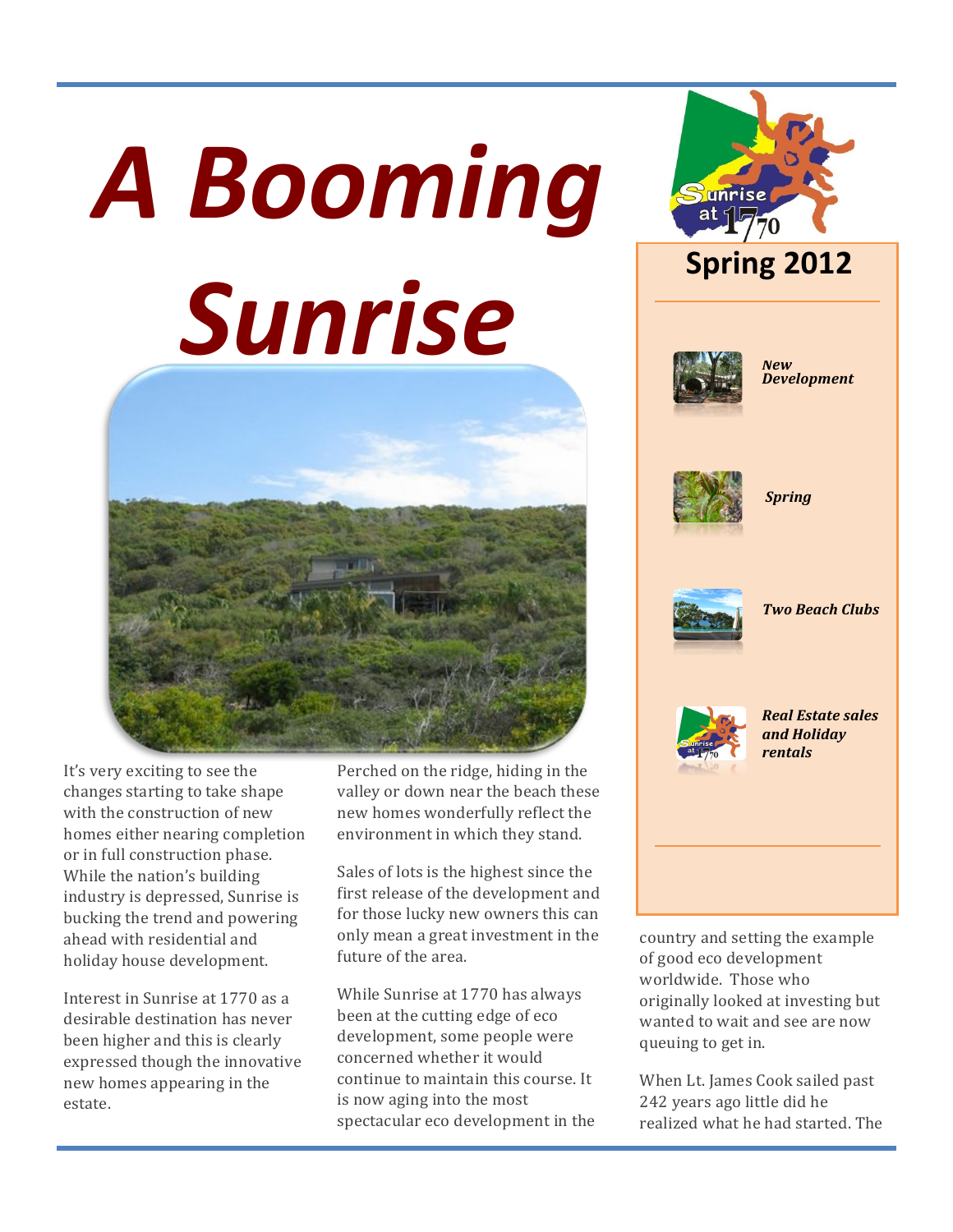# **A Booming** Sunrise



It's very exciting to see the changes starting to take shape with the construction of new homes either nearing completion or in full construction phase. While the nation's building industry is depressed, Sunrise is bucking the trend and powering ahead with residential and holiday house development.

Interest in Sunrise at 1770 as a desirable destination has never been higher and this is clearly expressed though the innovative new homes appearing in the estate.

Perched on the ridge, hiding in the valley or down near the beach these new homes wonderfully reflect the environment in which they stand.

Sales of lots is the highest since the first release of the development and for those lucky new owners this can only mean a great investment in the future of the area.

While Sunrise at 1770 has always been at the cutting edge of eco development, some people were concerned whether it would continue to maintain this course. It is now aging into the most spectacular eco development in the



country and setting the example of good eco development worldwide. Those who originally looked at investing but wanted to wait and see are now queuing to get in.

When Lt. James Cook sailed past 242 years ago little did he realized what he had started. The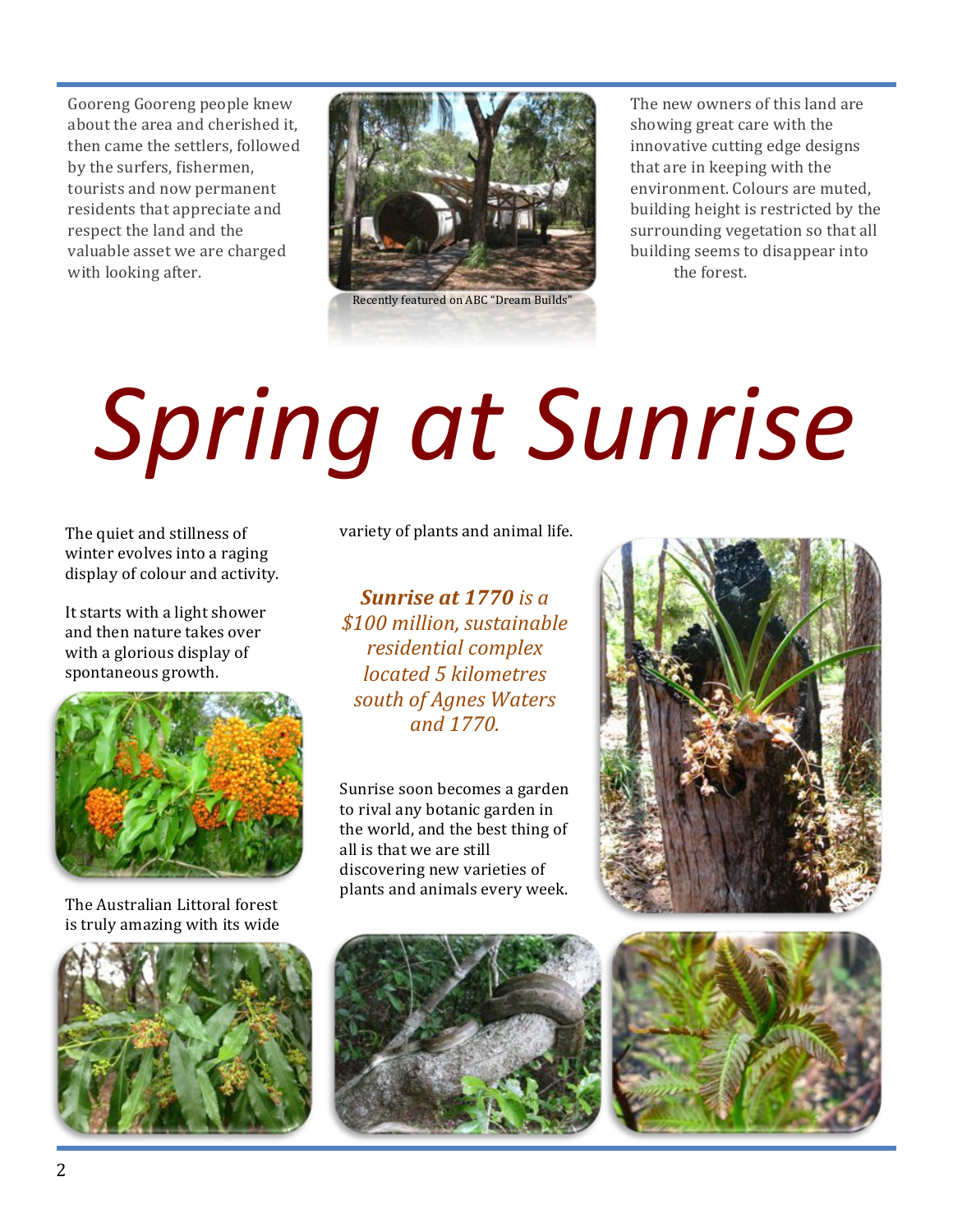Gooreng Gooreng people knew about the area and cherished it, then came the settlers, followed by the surfers, fishermen, tourists and now permanent residents that appreciate and respect the land and the valuable asset we are charged with looking after.



The new owners of this land are showing great care with the innovative cutting edge designs that are in keeping with the environment. Colours are muted, building height is restricted by the surrounding vegetation so that all building seems to disappear into the forest.

# *Spring'at'Sunrise*

winter evolves into a raging display of colour and activity.

It starts with a light shower and then nature takes over with a glorious display of spontaneous growth.



The Australian Littoral forest is truly amazing with its wide



The quiet and stillness of variety of plants and animal life.

*Sunrise\$at\$1770!is!a!* **\$100 million, sustainable** *residential!complex! located!5!kilometres! south!of!Agnes!Waters! and!1770.*

Sunrise soon becomes a garden to rival any botanic garden in the world, and the best thing of all is that we are still discovering new varieties of plants and animals every week.





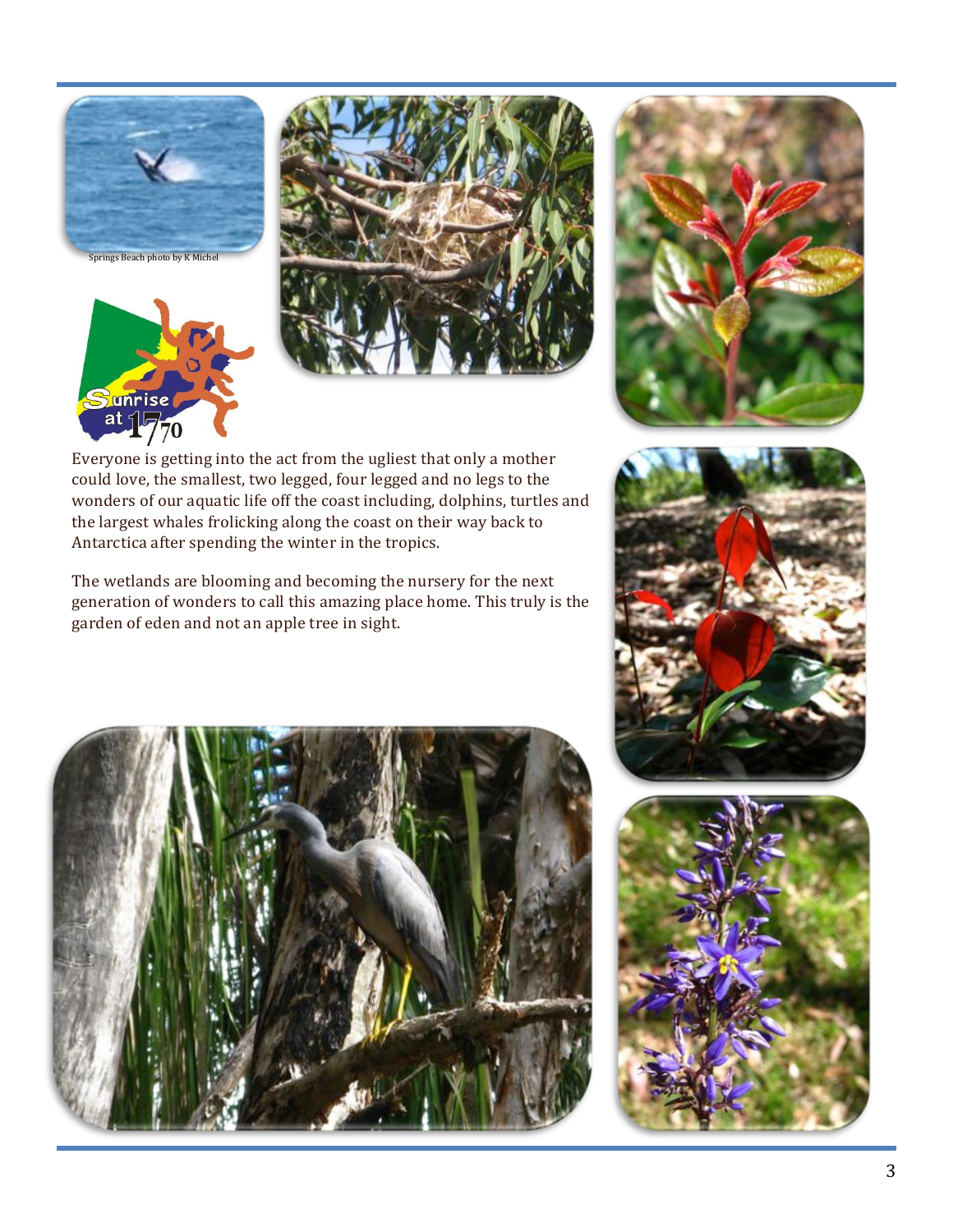







Everyone is getting into the act from the ugliest that only a mother could love, the smallest, two legged, four legged and no legs to the wonders of our aquatic life off the coast including, dolphins, turtles and the largest whales frolicking along the coast on their way back to Antarctica after spending the winter in the tropics.

The wetlands are blooming and becoming the nursery for the next generation of wonders to call this amazing place home. This truly is the garden of eden and not an apple tree in sight.

![](_page_2_Picture_6.jpeg)

![](_page_2_Picture_7.jpeg)

![](_page_2_Picture_8.jpeg)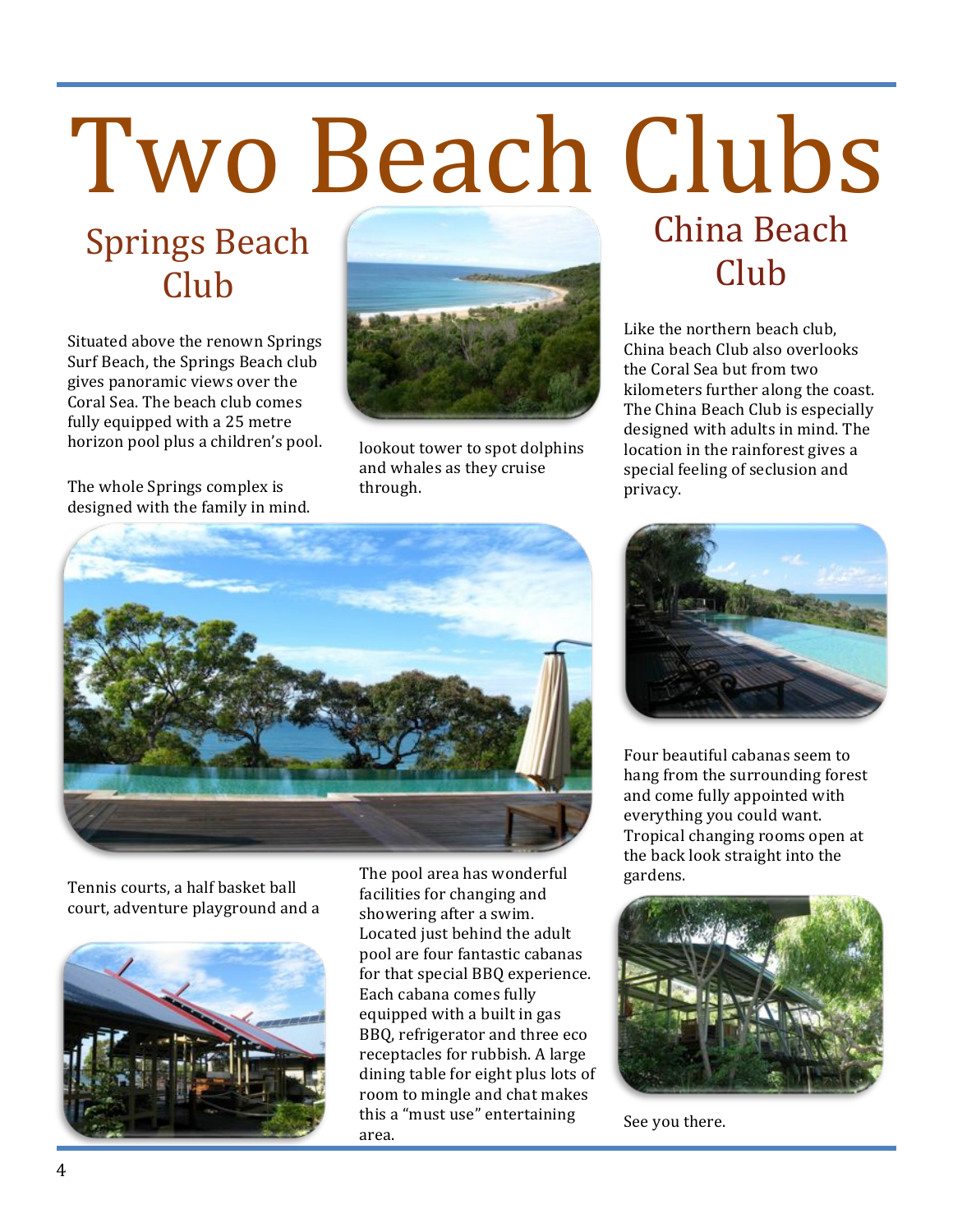# Two Beach Clubs

## **Springs Beach** Club

Situated above the renown Springs Surf Beach, the Springs Beach club gives panoramic views over the Coral Sea. The beach club comes fully equipped with a 25 metre horizon pool plus a children's pool.

The whole Springs complex is

![](_page_3_Picture_3.jpeg)

lookout tower to spot dolphins and whales as they cruise through.

## China!Beach! Club

Like the northern beach club. China beach Club also overlooks the Coral Sea but from two kilometers further along the coast. The China Beach Club is especially designed with adults in mind. The location in the rainforest gives a special feeling of seclusion and privacy.

![](_page_3_Picture_7.jpeg)

Tennis courts, a half basket ball court, adventure playground and a

![](_page_3_Picture_9.jpeg)

The pool area has wonderful facilities for changing and showering after a swim. Located just behind the adult pool are four fantastic cabanas for that special BBQ experience. Each cabana comes fully equipped with a built in gas BBQ, refrigerator and three eco receptacles for rubbish. A large dining table for eight plus lots of room to mingle and chat makes this a "must use" entertaining area.!

![](_page_3_Picture_11.jpeg)

Four beautiful cabanas seem to hang from the surrounding forest and come fully appointed with everything you could want. Tropical changing rooms open at the back look straight into the gardens.

![](_page_3_Picture_13.jpeg)

See you there.